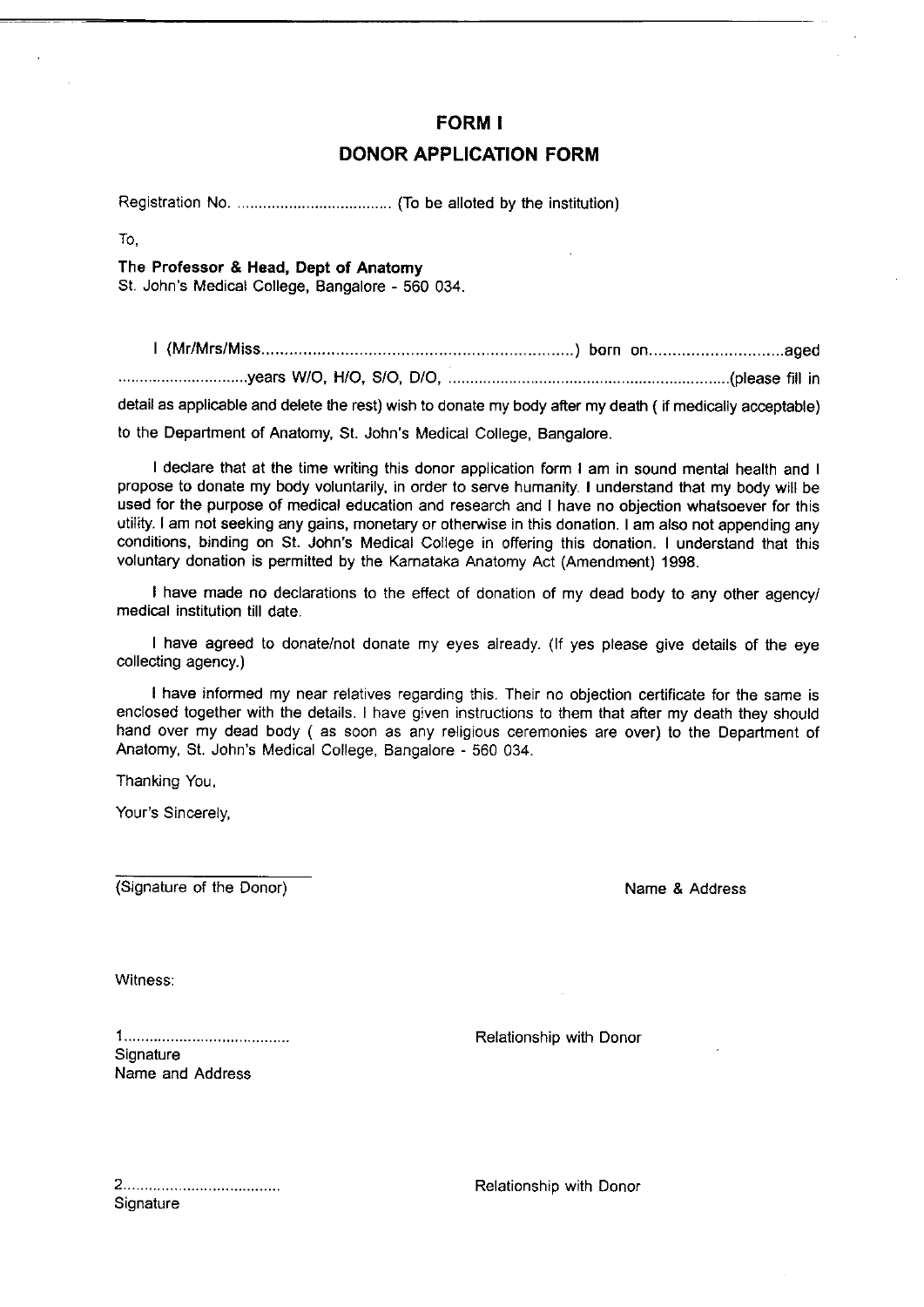### FORM I

# DONOR APPLICATION FORM

Registration No. ............ ..... (To be alloted by the institution)

To.

#### The Professor & Head, Dept of Anatomy

St. John's Medical College, Bangalore - 560 034.

| (Mr/Mrs/Miss ...........years W/O, H/O, S/O, D/O, ........(please fitt in detail as applicable and delete the rest) wish to donate my body after my death ( if medically acceptable) to the Department of Anatomy, St. John's Medical College, Bangalore.

I declare that at the time writing this donor application form I am in sound mental health and I propose to donate my body voluntarily, in order to serve humanity. I understand that my body will be used for the purpose of medical education and research and I have no objection whatsoever for this utility. I am not seeking any gains, monetary or otherwise in this donation. I am also not appending any conditions, binding on St. John's Medical College in offering this donation. I understand that this voluntary donation is permitted by the Karnataka Anatomy Act (Amendment) 1998.

I have made no declarations to the effect of donation of my dead body to any other agency/ medical institution till date.

I have agreed to donate/not donate my eyes already. (lf yes please give details of the eye collecting agency.)

I have informed my near relatives regarding this. Their no objection certificate for the same is enclosed together with the details. I have given instructions to them that after my death they should hand over my dead body ( as soon as any religious ceremonies are over) to the Department of Anatomy, St. John's Medical College, Bangalore - 560 034.

Thanking You,

Your's Sincerely,

(Signature of the Donor) Name & Address

Witness:

**Signature** Name and Address

Relationship with Donor

**Signature** 

Relationship with Donor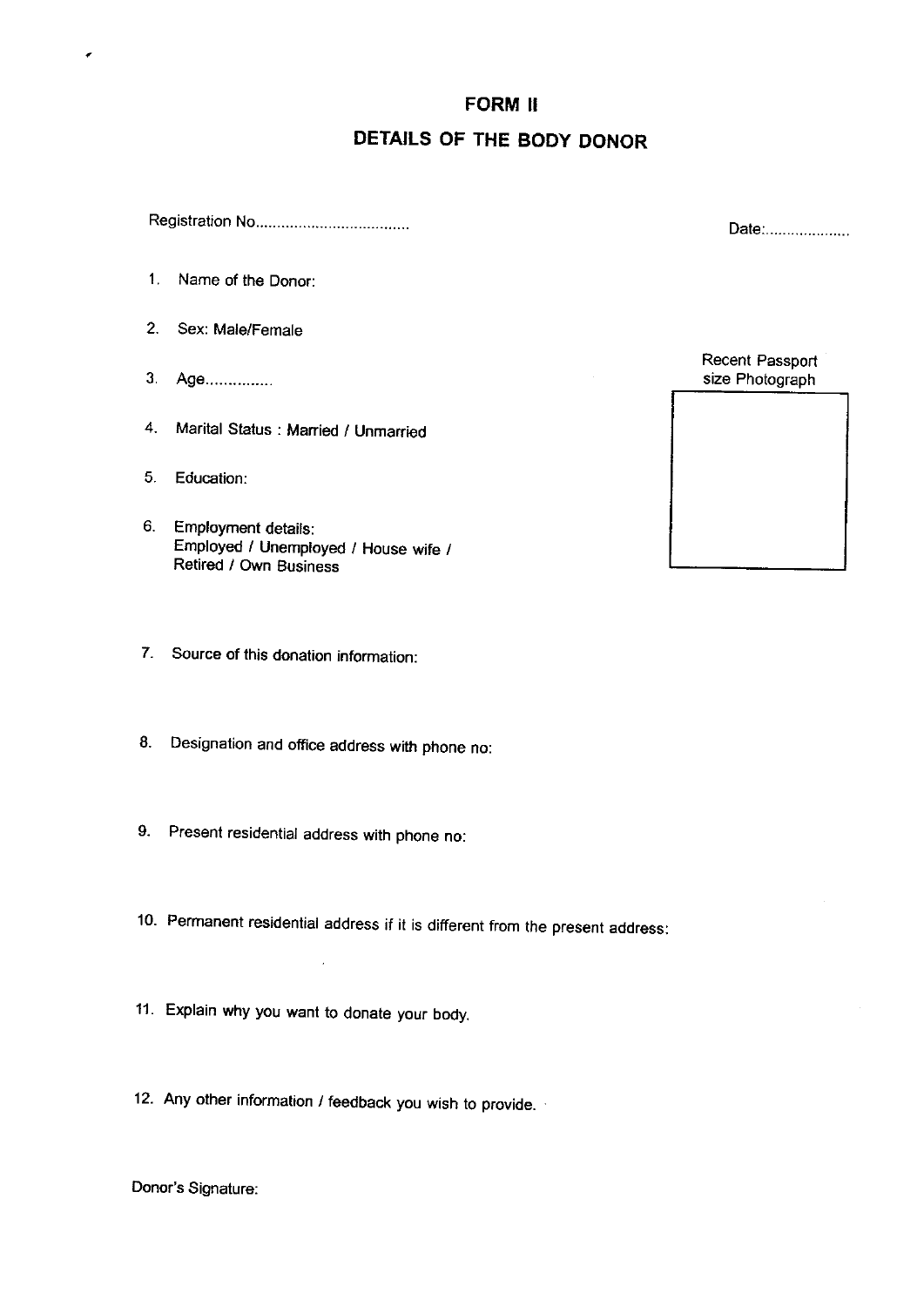### FORM II

# DETAILS OF THE BODY DONOR

Registration No

- 1. Name of the Donor:
- 2. Sex: Male/Female
- 3. Age...............

٠

- 4. Marital Status : Married / Unmarried
- 5. Education:
- 6. Employment details: Employed / Unemployed / House wife / Retired / Own Business
- 7. Source of this donation information:
- 8. Designation and office address with phone no:
- 9. Present residential address with phone no:
- 10. Permanent residential address if it is different from the present address:
- 11. Explain why you want to donate your body.

 $\overline{\phantom{a}}$ 

12. Any other information / feedback you wish to provide.

Donor's Signature:

Date:....................

Recent Passport size Photograph